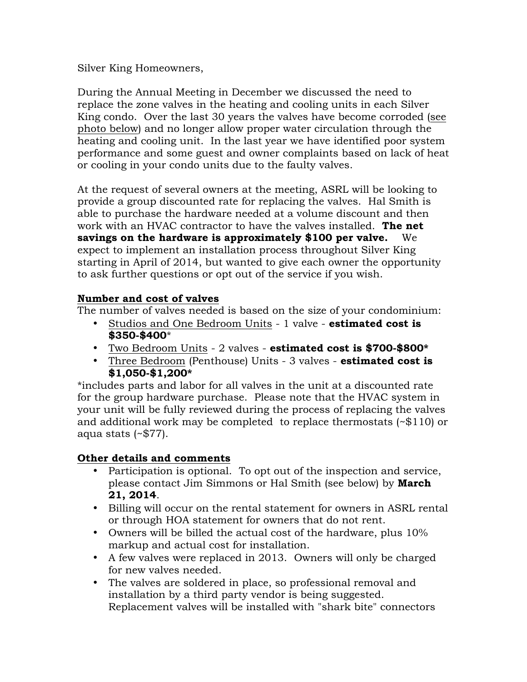Silver King Homeowners,

During the Annual Meeting in December we discussed the need to replace the zone valves in the heating and cooling units in each Silver King condo. Over the last 30 years the valves have become corroded (see photo below) and no longer allow proper water circulation through the heating and cooling unit. In the last year we have identified poor system performance and some guest and owner complaints based on lack of heat or cooling in your condo units due to the faulty valves.

At the request of several owners at the meeting, ASRL will be looking to provide a group discounted rate for replacing the valves. Hal Smith is able to purchase the hardware needed at a volume discount and then work with an HVAC contractor to have the valves installed. **The net savings on the hardware is approximately \$100 per valve.** We expect to implement an installation process throughout Silver King starting in April of 2014, but wanted to give each owner the opportunity to ask further questions or opt out of the service if you wish.

## **Number and cost of valves**

The number of valves needed is based on the size of your condominium:

- Studios and One Bedroom Units 1 valve **estimated cost is \$350-\$400**\*
- Two Bedroom Units 2 valves **estimated cost is \$700-\$800\***
- Three Bedroom (Penthouse) Units 3 valves **estimated cost is \$1,050-\$1,200\***

\*includes parts and labor for all valves in the unit at a discounted rate for the group hardware purchase. Please note that the HVAC system in your unit will be fully reviewed during the process of replacing the valves and additional work may be completed to replace thermostats (~\$110) or aqua stats (~\$77).

## **Other details and comments**

- Participation is optional. To opt out of the inspection and service, please contact Jim Simmons or Hal Smith (see below) by **March 21, 2014**.
- Billing will occur on the rental statement for owners in ASRL rental or through HOA statement for owners that do not rent.
- Owners will be billed the actual cost of the hardware, plus 10% markup and actual cost for installation.
- A few valves were replaced in 2013. Owners will only be charged for new valves needed.
- The valves are soldered in place, so professional removal and installation by a third party vendor is being suggested. Replacement valves will be installed with "shark bite" connectors